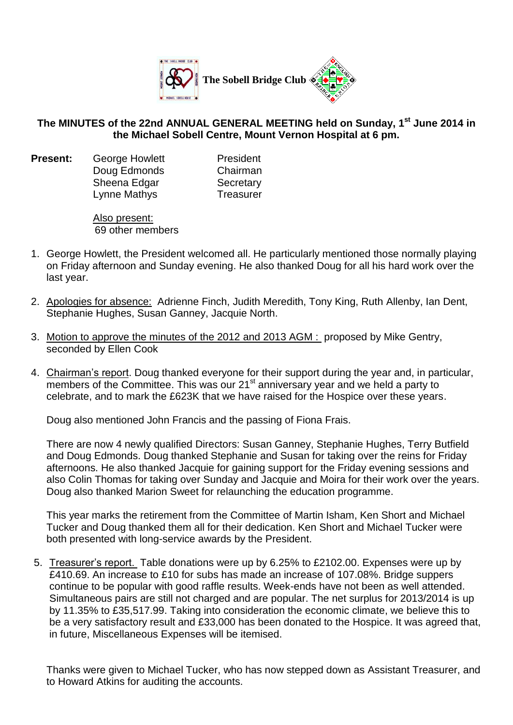

## **The MINUTES of the 22nd ANNUAL GENERAL MEETING held on Sunday, 1 st June 2014 in the Michael Sobell Centre, Mount Vernon Hospital at 6 pm.**

**Present:** George Howlett **President** Doug Edmonds Chairman Sheena Edgar Secretary Lynne Mathys Treasurer

Also present: 69 other members

- 1. George Howlett, the President welcomed all. He particularly mentioned those normally playing on Friday afternoon and Sunday evening. He also thanked Doug for all his hard work over the last year.
- 2. Apologies for absence: Adrienne Finch, Judith Meredith, Tony King, Ruth Allenby, Ian Dent, Stephanie Hughes, Susan Ganney, Jacquie North.
- 3. Motion to approve the minutes of the 2012 and 2013 AGM : proposed by Mike Gentry, seconded by Ellen Cook
- 4. Chairman's report. Doug thanked everyone for their support during the year and, in particular, members of the Committee. This was our 21<sup>st</sup> anniversary year and we held a party to celebrate, and to mark the £623K that we have raised for the Hospice over these years.

Doug also mentioned John Francis and the passing of Fiona Frais.

There are now 4 newly qualified Directors: Susan Ganney, Stephanie Hughes, Terry Butfield and Doug Edmonds. Doug thanked Stephanie and Susan for taking over the reins for Friday afternoons. He also thanked Jacquie for gaining support for the Friday evening sessions and also Colin Thomas for taking over Sunday and Jacquie and Moira for their work over the years. Doug also thanked Marion Sweet for relaunching the education programme.

This year marks the retirement from the Committee of Martin Isham, Ken Short and Michael Tucker and Doug thanked them all for their dedication. Ken Short and Michael Tucker were both presented with long-service awards by the President.

5. Treasurer's report. Table donations were up by 6.25% to £2102.00. Expenses were up by £410.69. An increase to £10 for subs has made an increase of 107.08%. Bridge suppers continue to be popular with good raffle results. Week-ends have not been as well attended. Simultaneous pairs are still not charged and are popular. The net surplus for 2013/2014 is up by 11.35% to £35,517.99. Taking into consideration the economic climate, we believe this to be a very satisfactory result and £33,000 has been donated to the Hospice. It was agreed that, in future, Miscellaneous Expenses will be itemised.

Thanks were given to Michael Tucker, who has now stepped down as Assistant Treasurer, and to Howard Atkins for auditing the accounts.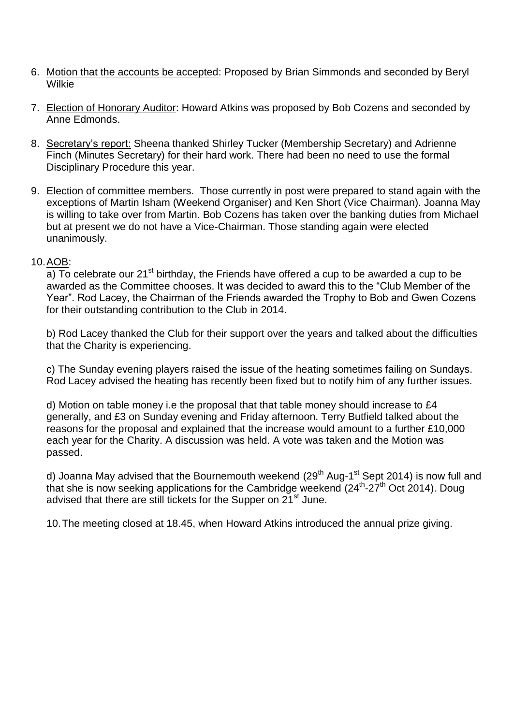- 6. Motion that the accounts be accepted: Proposed by Brian Simmonds and seconded by Beryl Wilkie
- 7. Election of Honorary Auditor: Howard Atkins was proposed by Bob Cozens and seconded by Anne Edmonds.
- 8. Secretary's report: Sheena thanked Shirley Tucker (Membership Secretary) and Adrienne Finch (Minutes Secretary) for their hard work. There had been no need to use the formal Disciplinary Procedure this year.
- 9. Election of committee members. Those currently in post were prepared to stand again with the exceptions of Martin Isham (Weekend Organiser) and Ken Short (Vice Chairman). Joanna May is willing to take over from Martin. Bob Cozens has taken over the banking duties from Michael but at present we do not have a Vice-Chairman. Those standing again were elected unanimously.

## 10.AOB:

a) To celebrate our  $21^{st}$  birthday, the Friends have offered a cup to be awarded a cup to be awarded as the Committee chooses. It was decided to award this to the "Club Member of the Year". Rod Lacey, the Chairman of the Friends awarded the Trophy to Bob and Gwen Cozens for their outstanding contribution to the Club in 2014.

b) Rod Lacey thanked the Club for their support over the years and talked about the difficulties that the Charity is experiencing.

c) The Sunday evening players raised the issue of the heating sometimes failing on Sundays. Rod Lacey advised the heating has recently been fixed but to notify him of any further issues.

d) Motion on table money i.e the proposal that that table money should increase to £4 generally, and £3 on Sunday evening and Friday afternoon. Terry Butfield talked about the reasons for the proposal and explained that the increase would amount to a further £10,000 each year for the Charity. A discussion was held. A vote was taken and the Motion was passed.

d) Joanna May advised that the Bournemouth weekend (29<sup>th</sup> Aug-1<sup>st</sup> Sept 2014) is now full and that she is now seeking applications for the Cambridge weekend  $(24<sup>th</sup>-27<sup>th</sup> Oct 2014)$ . Doug advised that there are still tickets for the Supper on 21<sup>st</sup> June.

10.The meeting closed at 18.45, when Howard Atkins introduced the annual prize giving.